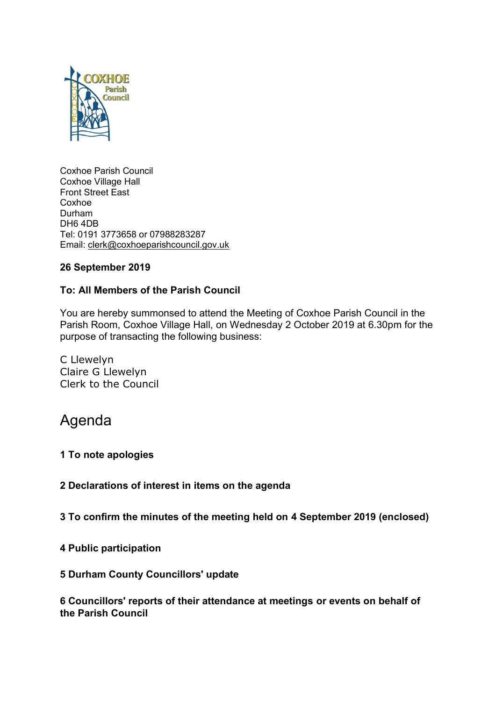

Coxhoe Parish Council Coxhoe Village Hall Front Street East Coxhoe Durham DH6 4DB Tel: 0191 3773658 or 07988283287 Email: [clerk@coxhoeparishcouncil.gov.uk](mailto:clerk@coxhoeparishcouncil.gov.uk)

# **26 September 2019**

# **To: All Members of the Parish Council**

You are hereby summonsed to attend the Meeting of Coxhoe Parish Council in the Parish Room, Coxhoe Village Hall, on Wednesday 2 October 2019 at 6.30pm for the purpose of transacting the following business:

C Llewelyn Claire G Llewelyn Clerk to the Council

# Agenda

#### **1 To note apologies**

**2 Declarations of interest in items on the agenda**

**3 To confirm the minutes of the meeting held on 4 September 2019 (enclosed)**

**4 Public participation**

#### **5 Durham County Councillors' update**

**6 Councillors' reports of their attendance at meetings or events on behalf of the Parish Council**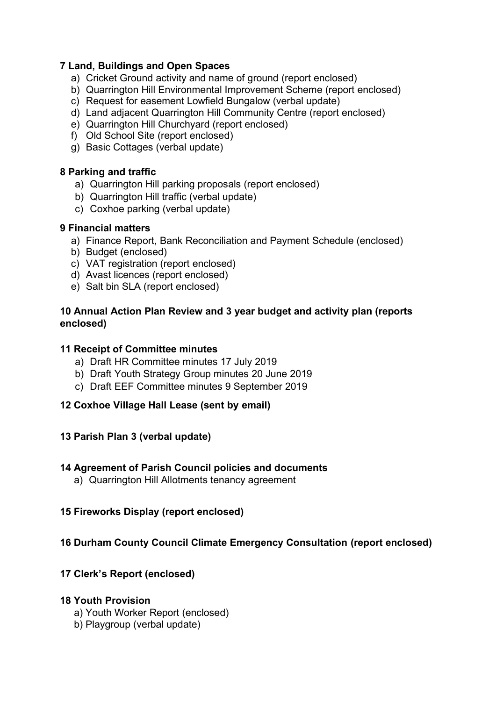## **7 Land, Buildings and Open Spaces**

- a) Cricket Ground activity and name of ground (report enclosed)
- b) Quarrington Hill Environmental Improvement Scheme (report enclosed)
- c) Request for easement Lowfield Bungalow (verbal update)
- d) Land adjacent Quarrington Hill Community Centre (report enclosed)
- e) Quarrington Hill Churchyard (report enclosed)
- f) Old School Site (report enclosed)
- g) Basic Cottages (verbal update)

# **8 Parking and traffic**

- a) Quarrington Hill parking proposals (report enclosed)
- b) Quarrington Hill traffic (verbal update)
- c) Coxhoe parking (verbal update)

## **9 Financial matters**

- a) Finance Report, Bank Reconciliation and Payment Schedule (enclosed)
- b) Budget (enclosed)
- c) VAT registration (report enclosed)
- d) Avast licences (report enclosed)
- e) Salt bin SLA (report enclosed)

## **10 Annual Action Plan Review and 3 year budget and activity plan (reports enclosed)**

## **11 Receipt of Committee minutes**

- a) Draft HR Committee minutes 17 July 2019
- b) Draft Youth Strategy Group minutes 20 June 2019
- c) Draft EEF Committee minutes 9 September 2019

# **12 Coxhoe Village Hall Lease (sent by email)**

#### **13 Parish Plan 3 (verbal update)**

# **14 Agreement of Parish Council policies and documents**

a) Quarrington Hill Allotments tenancy agreement

# **15 Fireworks Display (report enclosed)**

# **16 Durham County Council Climate Emergency Consultation (report enclosed)**

# **17 Clerk's Report (enclosed)**

# **18 Youth Provision**

- a) Youth Worker Report (enclosed)
- b) Playgroup (verbal update)